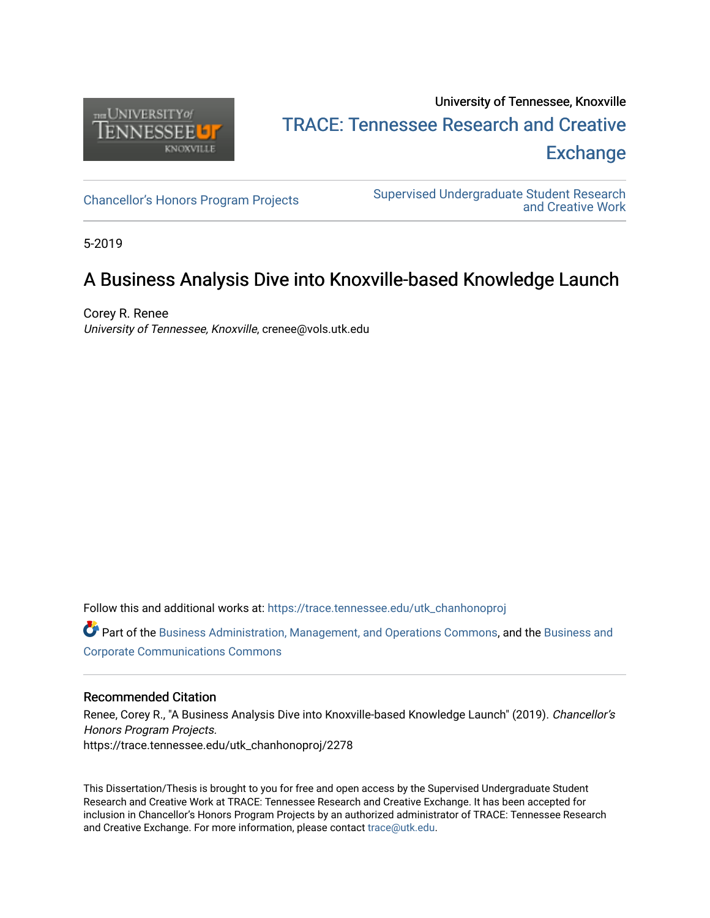

# University of Tennessee, Knoxville TRACE: T[ennessee Research and Cr](https://trace.tennessee.edu/)eative **Exchange**

[Chancellor's Honors Program Projects](https://trace.tennessee.edu/utk_chanhonoproj) Supervised Undergraduate Student Research [and Creative Work](https://trace.tennessee.edu/utk_supug) 

5-2019

# A Business Analysis Dive into Knoxville-based Knowledge Launch

Corey R. Renee University of Tennessee, Knoxville, crenee@vols.utk.edu

Follow this and additional works at: [https://trace.tennessee.edu/utk\\_chanhonoproj](https://trace.tennessee.edu/utk_chanhonoproj?utm_source=trace.tennessee.edu%2Futk_chanhonoproj%2F2278&utm_medium=PDF&utm_campaign=PDFCoverPages) 

Part of the [Business Administration, Management, and Operations Commons](http://network.bepress.com/hgg/discipline/623?utm_source=trace.tennessee.edu%2Futk_chanhonoproj%2F2278&utm_medium=PDF&utm_campaign=PDFCoverPages), and the [Business and](http://network.bepress.com/hgg/discipline/627?utm_source=trace.tennessee.edu%2Futk_chanhonoproj%2F2278&utm_medium=PDF&utm_campaign=PDFCoverPages)  [Corporate Communications Commons](http://network.bepress.com/hgg/discipline/627?utm_source=trace.tennessee.edu%2Futk_chanhonoproj%2F2278&utm_medium=PDF&utm_campaign=PDFCoverPages)

#### Recommended Citation

Renee, Corey R., "A Business Analysis Dive into Knoxville-based Knowledge Launch" (2019). Chancellor's Honors Program Projects. https://trace.tennessee.edu/utk\_chanhonoproj/2278

This Dissertation/Thesis is brought to you for free and open access by the Supervised Undergraduate Student Research and Creative Work at TRACE: Tennessee Research and Creative Exchange. It has been accepted for inclusion in Chancellor's Honors Program Projects by an authorized administrator of TRACE: Tennessee Research and Creative Exchange. For more information, please contact [trace@utk.edu](mailto:trace@utk.edu).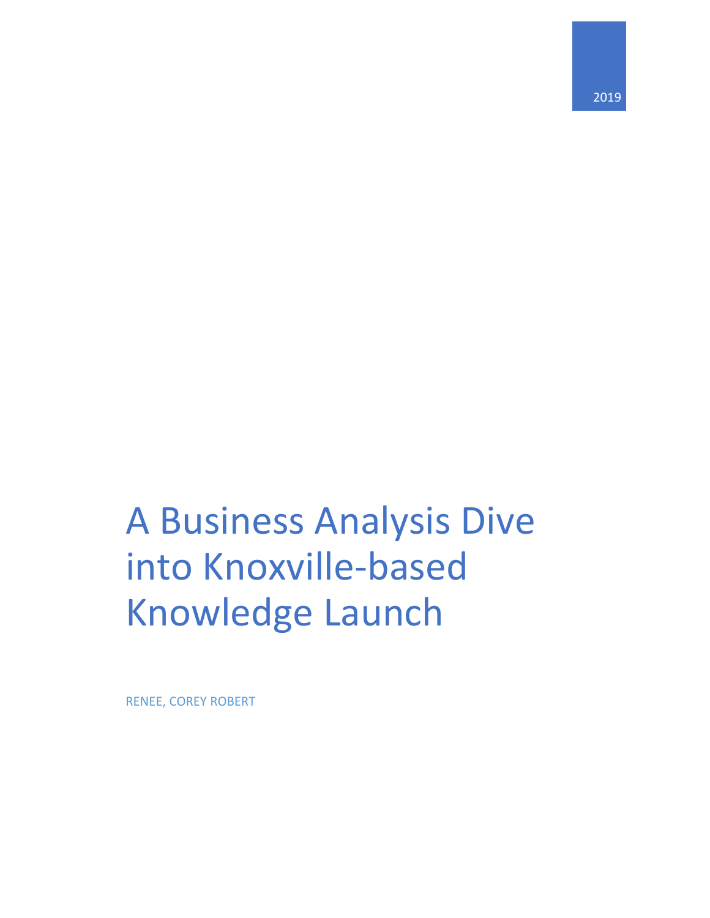2019

# A Business Analysis Dive into Knoxville-based Knowledge Launch

RENEE, COREY ROBERT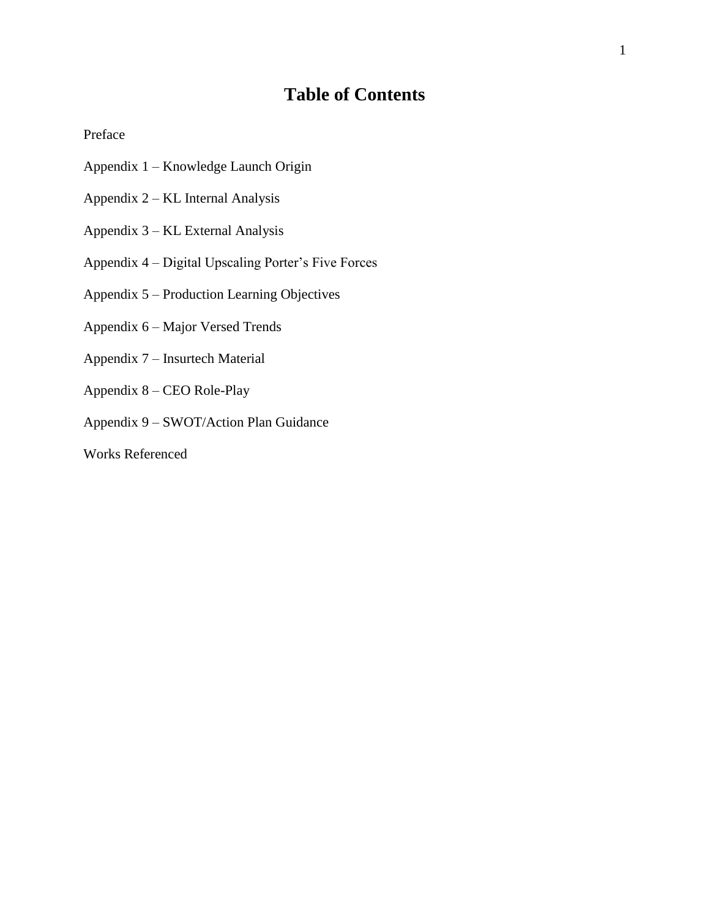# **Table of Contents**

Preface

- Appendix 1 Knowledge Launch Origin
- Appendix 2 KL Internal Analysis
- Appendix 3 KL External Analysis
- Appendix 4 Digital Upscaling Porter's Five Forces
- Appendix 5 Production Learning Objectives
- Appendix 6 Major Versed Trends
- Appendix 7 Insurtech Material
- Appendix 8 CEO Role-Play
- Appendix 9 SWOT/Action Plan Guidance
- Works Referenced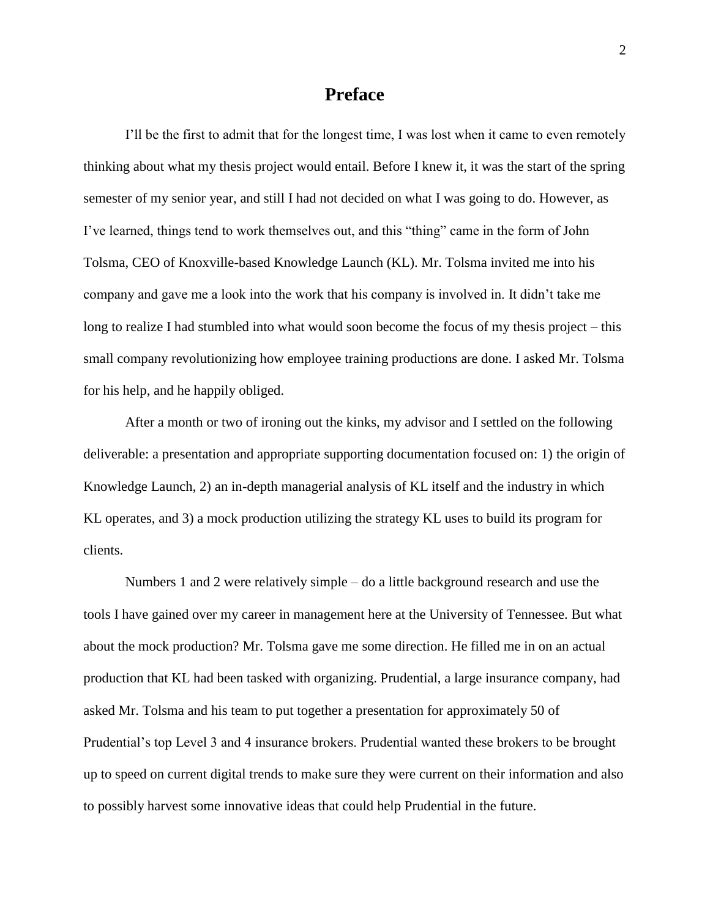### **Preface**

I'll be the first to admit that for the longest time, I was lost when it came to even remotely thinking about what my thesis project would entail. Before I knew it, it was the start of the spring semester of my senior year, and still I had not decided on what I was going to do. However, as I've learned, things tend to work themselves out, and this "thing" came in the form of John Tolsma, CEO of Knoxville-based Knowledge Launch (KL). Mr. Tolsma invited me into his company and gave me a look into the work that his company is involved in. It didn't take me long to realize I had stumbled into what would soon become the focus of my thesis project – this small company revolutionizing how employee training productions are done. I asked Mr. Tolsma for his help, and he happily obliged.

After a month or two of ironing out the kinks, my advisor and I settled on the following deliverable: a presentation and appropriate supporting documentation focused on: 1) the origin of Knowledge Launch, 2) an in-depth managerial analysis of KL itself and the industry in which KL operates, and 3) a mock production utilizing the strategy KL uses to build its program for clients.

Numbers 1 and 2 were relatively simple – do a little background research and use the tools I have gained over my career in management here at the University of Tennessee. But what about the mock production? Mr. Tolsma gave me some direction. He filled me in on an actual production that KL had been tasked with organizing. Prudential, a large insurance company, had asked Mr. Tolsma and his team to put together a presentation for approximately 50 of Prudential's top Level 3 and 4 insurance brokers. Prudential wanted these brokers to be brought up to speed on current digital trends to make sure they were current on their information and also to possibly harvest some innovative ideas that could help Prudential in the future.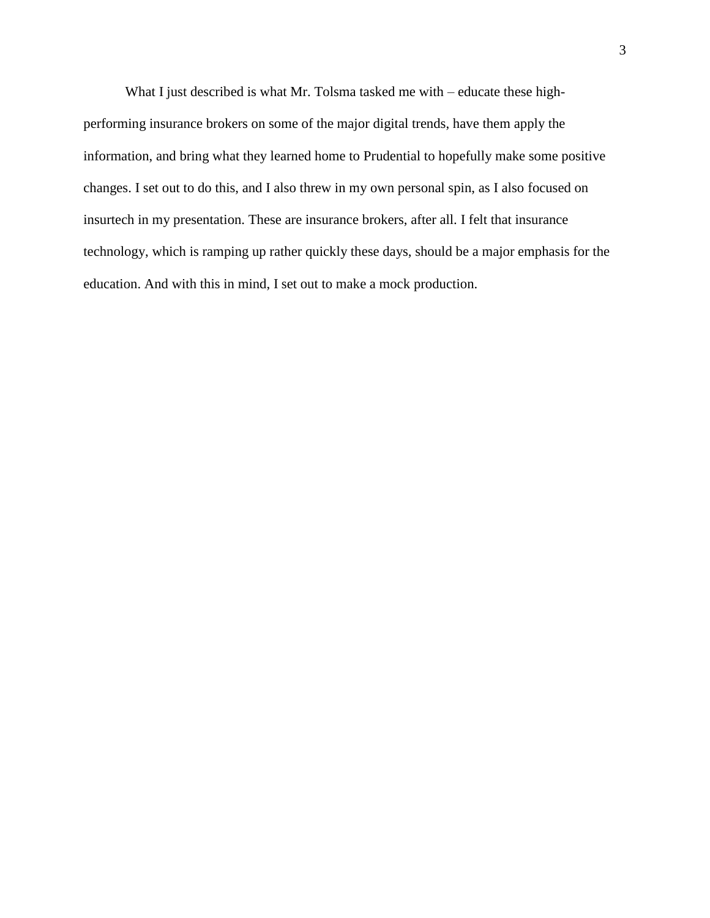What I just described is what Mr. Tolsma tasked me with – educate these highperforming insurance brokers on some of the major digital trends, have them apply the information, and bring what they learned home to Prudential to hopefully make some positive changes. I set out to do this, and I also threw in my own personal spin, as I also focused on insurtech in my presentation. These are insurance brokers, after all. I felt that insurance technology, which is ramping up rather quickly these days, should be a major emphasis for the education. And with this in mind, I set out to make a mock production.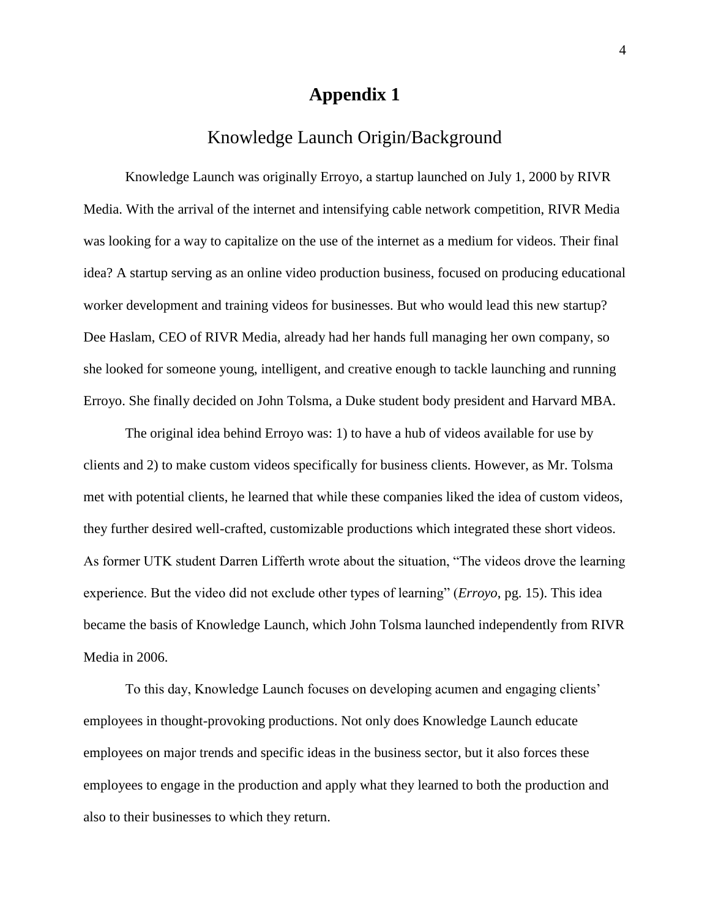### Knowledge Launch Origin/Background

Knowledge Launch was originally Erroyo, a startup launched on July 1, 2000 by RIVR Media. With the arrival of the internet and intensifying cable network competition, RIVR Media was looking for a way to capitalize on the use of the internet as a medium for videos. Their final idea? A startup serving as an online video production business, focused on producing educational worker development and training videos for businesses. But who would lead this new startup? Dee Haslam, CEO of RIVR Media, already had her hands full managing her own company, so she looked for someone young, intelligent, and creative enough to tackle launching and running Erroyo. She finally decided on John Tolsma, a Duke student body president and Harvard MBA.

The original idea behind Erroyo was: 1) to have a hub of videos available for use by clients and 2) to make custom videos specifically for business clients. However, as Mr. Tolsma met with potential clients, he learned that while these companies liked the idea of custom videos, they further desired well-crafted, customizable productions which integrated these short videos. As former UTK student Darren Lifferth wrote about the situation, "The videos drove the learning experience. But the video did not exclude other types of learning" (*Erroyo*, pg. 15). This idea became the basis of Knowledge Launch, which John Tolsma launched independently from RIVR Media in 2006.

To this day, Knowledge Launch focuses on developing acumen and engaging clients' employees in thought-provoking productions. Not only does Knowledge Launch educate employees on major trends and specific ideas in the business sector, but it also forces these employees to engage in the production and apply what they learned to both the production and also to their businesses to which they return.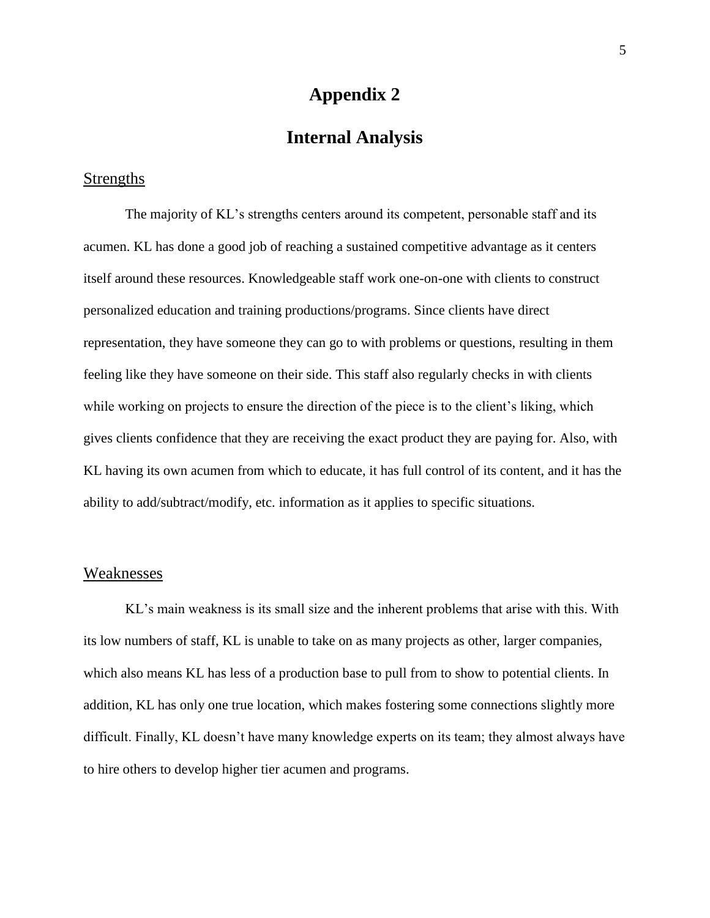### **Internal Analysis**

### **Strengths**

The majority of KL's strengths centers around its competent, personable staff and its acumen. KL has done a good job of reaching a sustained competitive advantage as it centers itself around these resources. Knowledgeable staff work one-on-one with clients to construct personalized education and training productions/programs. Since clients have direct representation, they have someone they can go to with problems or questions, resulting in them feeling like they have someone on their side. This staff also regularly checks in with clients while working on projects to ensure the direction of the piece is to the client's liking, which gives clients confidence that they are receiving the exact product they are paying for. Also, with KL having its own acumen from which to educate, it has full control of its content, and it has the ability to add/subtract/modify, etc. information as it applies to specific situations.

### Weaknesses

KL's main weakness is its small size and the inherent problems that arise with this. With its low numbers of staff, KL is unable to take on as many projects as other, larger companies, which also means KL has less of a production base to pull from to show to potential clients. In addition, KL has only one true location, which makes fostering some connections slightly more difficult. Finally, KL doesn't have many knowledge experts on its team; they almost always have to hire others to develop higher tier acumen and programs.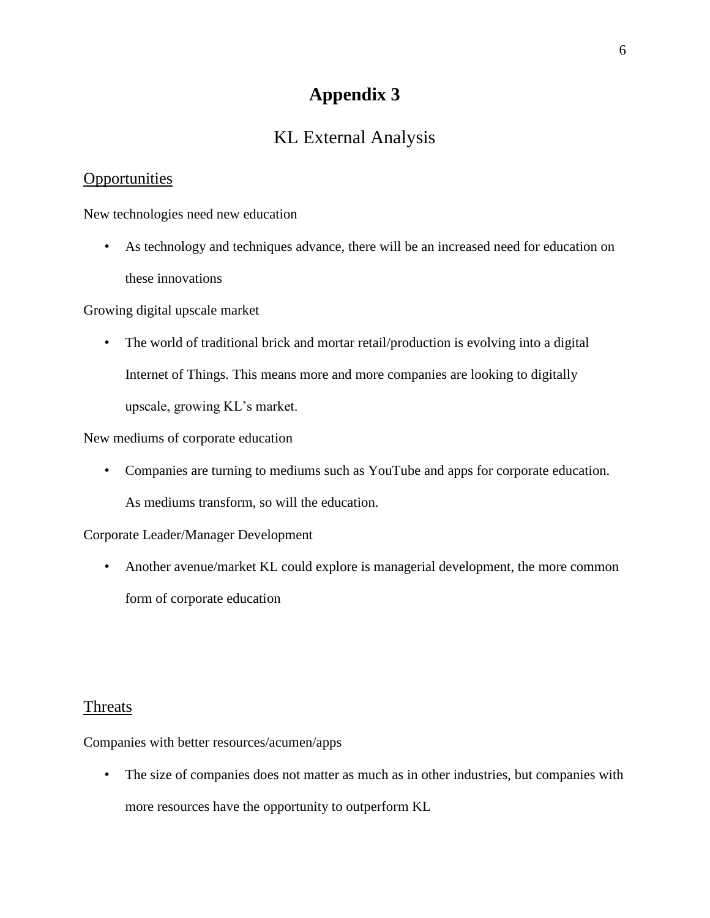# KL External Analysis

### **Opportunities**

New technologies need new education

• As technology and techniques advance, there will be an increased need for education on these innovations

Growing digital upscale market

• The world of traditional brick and mortar retail/production is evolving into a digital Internet of Things. This means more and more companies are looking to digitally upscale, growing KL's market.

New mediums of corporate education

• Companies are turning to mediums such as YouTube and apps for corporate education. As mediums transform, so will the education.

Corporate Leader/Manager Development

• Another avenue/market KL could explore is managerial development, the more common form of corporate education

### Threats

Companies with better resources/acumen/apps

• The size of companies does not matter as much as in other industries, but companies with more resources have the opportunity to outperform KL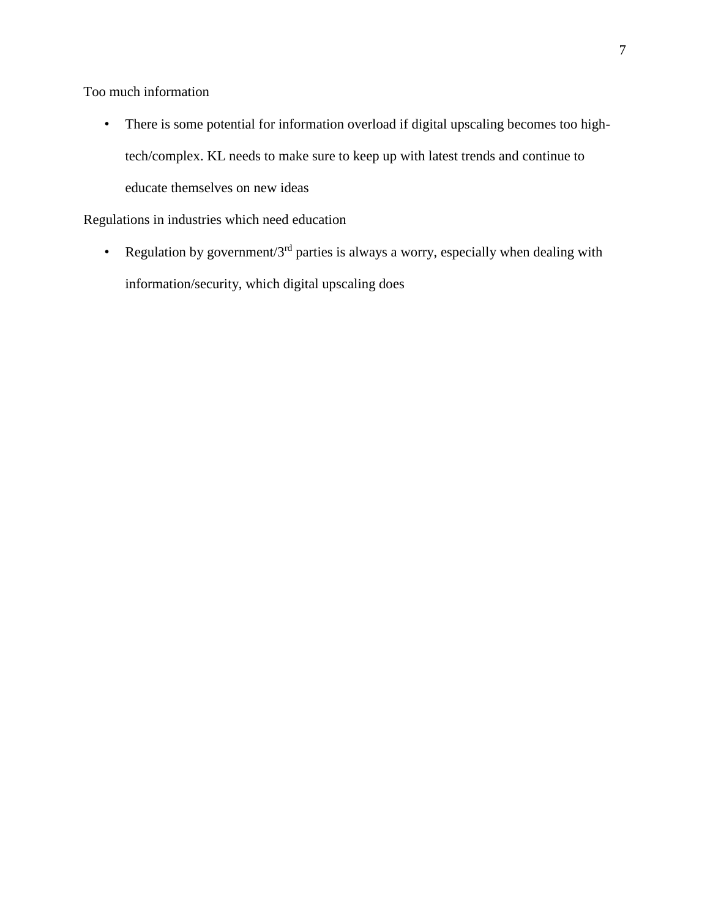Too much information

• There is some potential for information overload if digital upscaling becomes too hightech/complex. KL needs to make sure to keep up with latest trends and continue to educate themselves on new ideas

Regulations in industries which need education

• Regulation by government/ $3<sup>rd</sup>$  parties is always a worry, especially when dealing with information/security, which digital upscaling does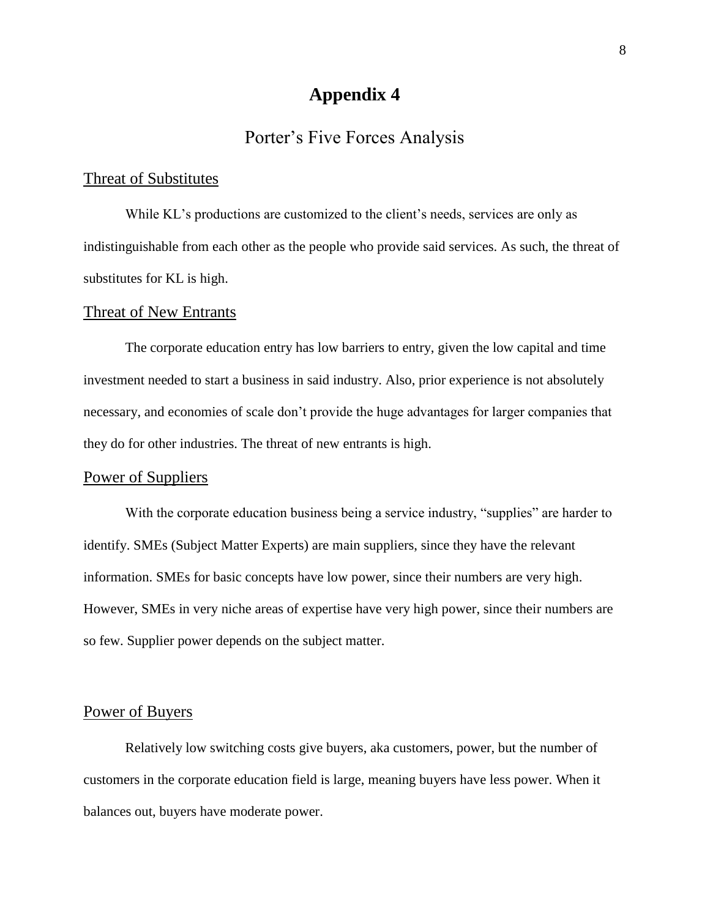### Porter's Five Forces Analysis

### Threat of Substitutes

While KL's productions are customized to the client's needs, services are only as indistinguishable from each other as the people who provide said services. As such, the threat of substitutes for KL is high.

#### Threat of New Entrants

The corporate education entry has low barriers to entry, given the low capital and time investment needed to start a business in said industry. Also, prior experience is not absolutely necessary, and economies of scale don't provide the huge advantages for larger companies that they do for other industries. The threat of new entrants is high.

#### Power of Suppliers

With the corporate education business being a service industry, "supplies" are harder to identify. SMEs (Subject Matter Experts) are main suppliers, since they have the relevant information. SMEs for basic concepts have low power, since their numbers are very high. However, SMEs in very niche areas of expertise have very high power, since their numbers are so few. Supplier power depends on the subject matter.

### Power of Buyers

Relatively low switching costs give buyers, aka customers, power, but the number of customers in the corporate education field is large, meaning buyers have less power. When it balances out, buyers have moderate power.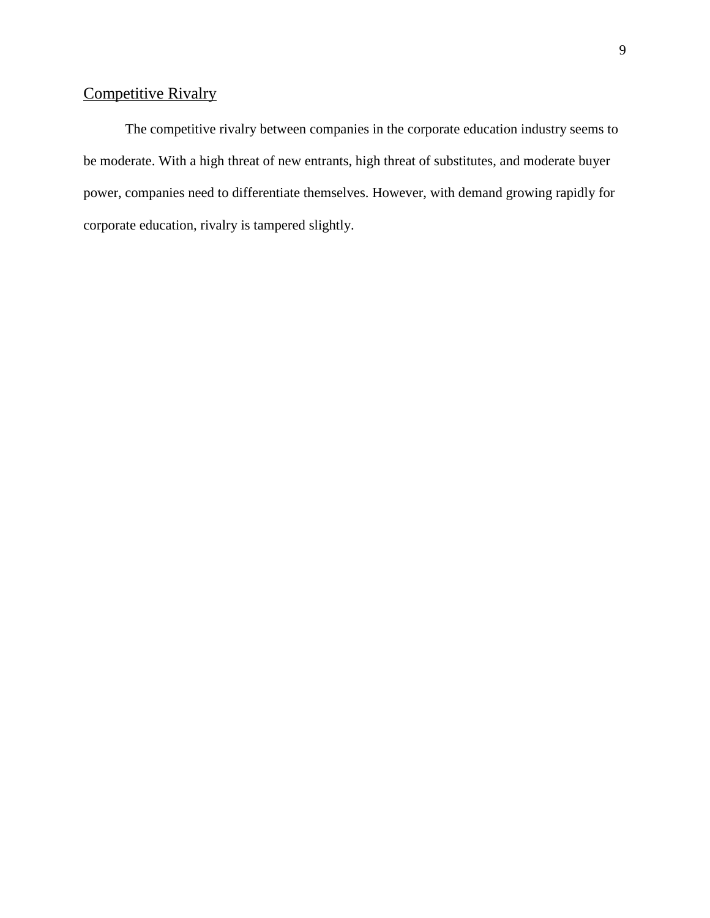# Competitive Rivalry

The competitive rivalry between companies in the corporate education industry seems to be moderate. With a high threat of new entrants, high threat of substitutes, and moderate buyer power, companies need to differentiate themselves. However, with demand growing rapidly for corporate education, rivalry is tampered slightly.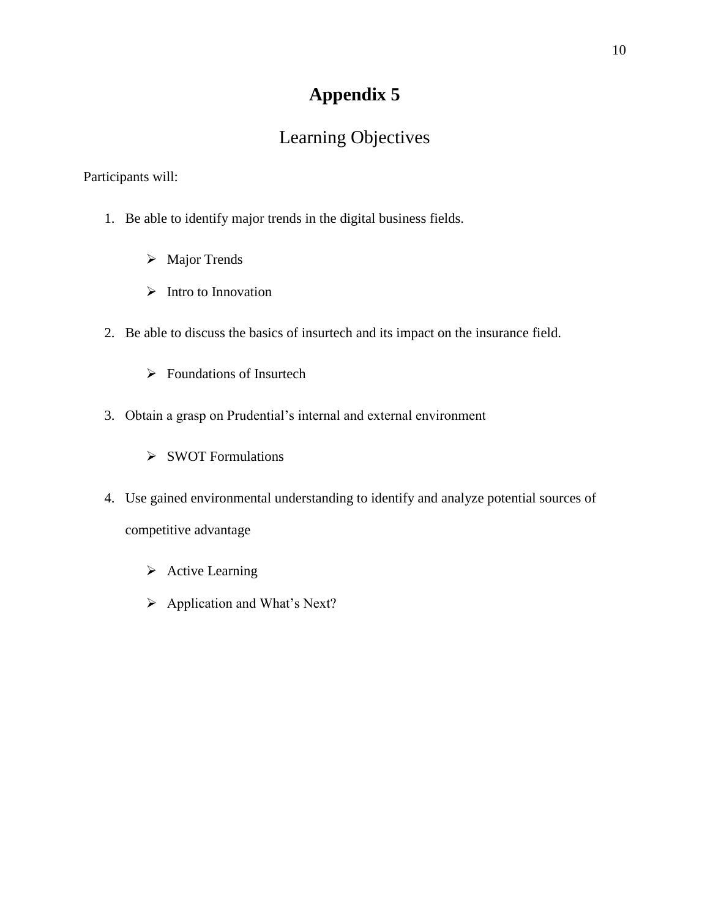# Learning Objectives

Participants will:

- 1. Be able to identify major trends in the digital business fields.
	- ➢ Major Trends
	- ➢ Intro to Innovation
- 2. Be able to discuss the basics of insurtech and its impact on the insurance field.
	- ➢ Foundations of Insurtech
- 3. Obtain a grasp on Prudential's internal and external environment
	- ➢ SWOT Formulations
- 4. Use gained environmental understanding to identify and analyze potential sources of competitive advantage
	- ➢ Active Learning
	- ➢ Application and What's Next?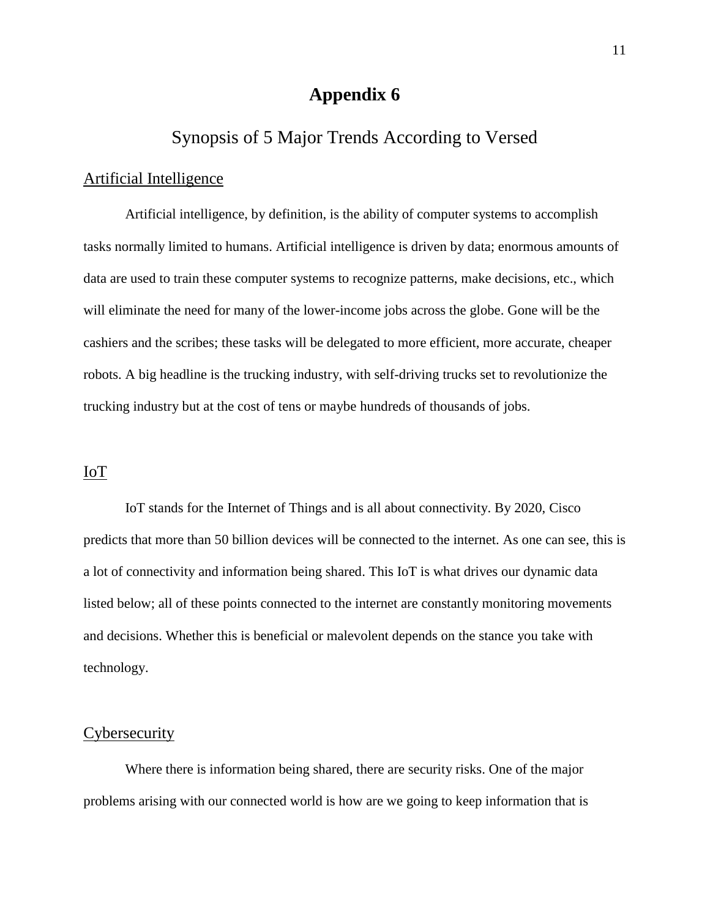### Synopsis of 5 Major Trends According to Versed

### Artificial Intelligence

Artificial intelligence, by definition, is the ability of computer systems to accomplish tasks normally limited to humans. Artificial intelligence is driven by data; enormous amounts of data are used to train these computer systems to recognize patterns, make decisions, etc., which will eliminate the need for many of the lower-income jobs across the globe. Gone will be the cashiers and the scribes; these tasks will be delegated to more efficient, more accurate, cheaper robots. A big headline is the trucking industry, with self-driving trucks set to revolutionize the trucking industry but at the cost of tens or maybe hundreds of thousands of jobs.

#### IoT

IoT stands for the Internet of Things and is all about connectivity. By 2020, Cisco predicts that more than 50 billion devices will be connected to the internet. As one can see, this is a lot of connectivity and information being shared. This IoT is what drives our dynamic data listed below; all of these points connected to the internet are constantly monitoring movements and decisions. Whether this is beneficial or malevolent depends on the stance you take with technology.

### **Cybersecurity**

Where there is information being shared, there are security risks. One of the major problems arising with our connected world is how are we going to keep information that is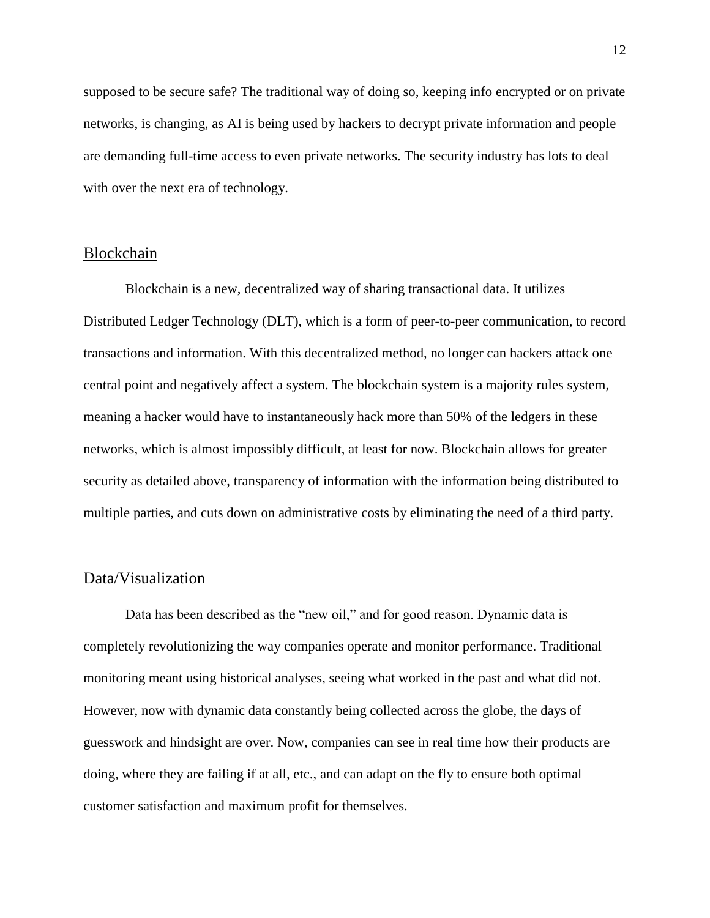supposed to be secure safe? The traditional way of doing so, keeping info encrypted or on private networks, is changing, as AI is being used by hackers to decrypt private information and people are demanding full-time access to even private networks. The security industry has lots to deal with over the next era of technology.

#### Blockchain

Blockchain is a new, decentralized way of sharing transactional data. It utilizes Distributed Ledger Technology (DLT), which is a form of peer-to-peer communication, to record transactions and information. With this decentralized method, no longer can hackers attack one central point and negatively affect a system. The blockchain system is a majority rules system, meaning a hacker would have to instantaneously hack more than 50% of the ledgers in these networks, which is almost impossibly difficult, at least for now. Blockchain allows for greater security as detailed above, transparency of information with the information being distributed to multiple parties, and cuts down on administrative costs by eliminating the need of a third party.

#### Data/Visualization

Data has been described as the "new oil," and for good reason. Dynamic data is completely revolutionizing the way companies operate and monitor performance. Traditional monitoring meant using historical analyses, seeing what worked in the past and what did not. However, now with dynamic data constantly being collected across the globe, the days of guesswork and hindsight are over. Now, companies can see in real time how their products are doing, where they are failing if at all, etc., and can adapt on the fly to ensure both optimal customer satisfaction and maximum profit for themselves.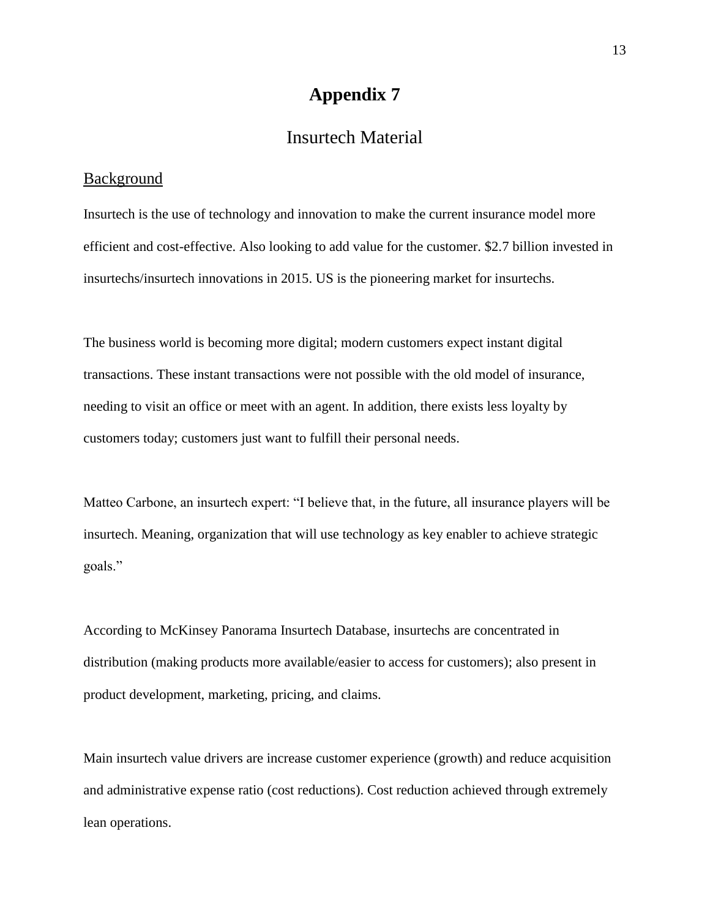### Insurtech Material

### **Background**

Insurtech is the use of technology and innovation to make the current insurance model more efficient and cost-effective. Also looking to add value for the customer. \$2.7 billion invested in insurtechs/insurtech innovations in 2015. US is the pioneering market for insurtechs.

The business world is becoming more digital; modern customers expect instant digital transactions. These instant transactions were not possible with the old model of insurance, needing to visit an office or meet with an agent. In addition, there exists less loyalty by customers today; customers just want to fulfill their personal needs.

Matteo Carbone, an insurtech expert: "I believe that, in the future, all insurance players will be insurtech. Meaning, organization that will use technology as key enabler to achieve strategic goals."

According to McKinsey Panorama Insurtech Database, insurtechs are concentrated in distribution (making products more available/easier to access for customers); also present in product development, marketing, pricing, and claims.

Main insurtech value drivers are increase customer experience (growth) and reduce acquisition and administrative expense ratio (cost reductions). Cost reduction achieved through extremely lean operations.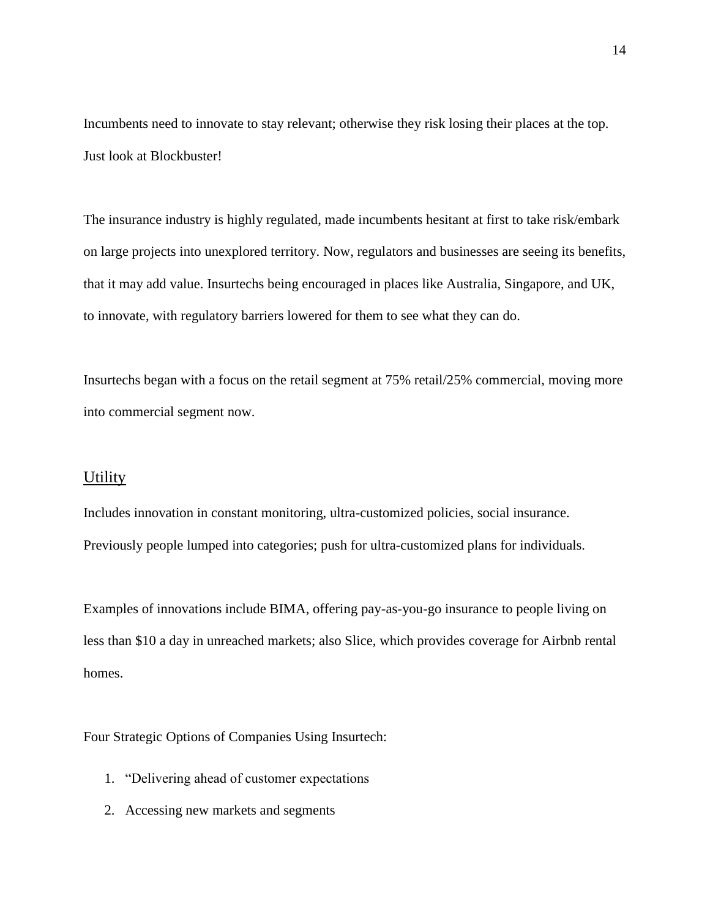Incumbents need to innovate to stay relevant; otherwise they risk losing their places at the top. Just look at Blockbuster!

The insurance industry is highly regulated, made incumbents hesitant at first to take risk/embark on large projects into unexplored territory. Now, regulators and businesses are seeing its benefits, that it may add value. Insurtechs being encouraged in places like Australia, Singapore, and UK, to innovate, with regulatory barriers lowered for them to see what they can do.

Insurtechs began with a focus on the retail segment at 75% retail/25% commercial, moving more into commercial segment now.

### **Utility**

Includes innovation in constant monitoring, ultra-customized policies, social insurance. Previously people lumped into categories; push for ultra-customized plans for individuals.

Examples of innovations include BIMA, offering pay-as-you-go insurance to people living on less than \$10 a day in unreached markets; also Slice, which provides coverage for Airbnb rental homes.

Four Strategic Options of Companies Using Insurtech:

- 1. "Delivering ahead of customer expectations
- 2. Accessing new markets and segments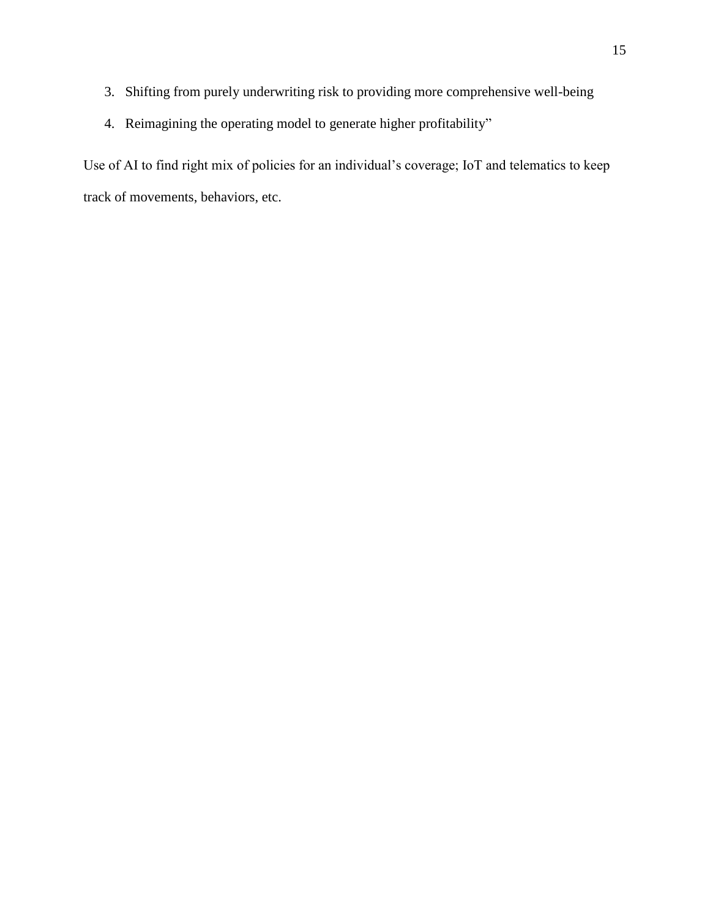- 3. Shifting from purely underwriting risk to providing more comprehensive well-being
- 4. Reimagining the operating model to generate higher profitability"

Use of AI to find right mix of policies for an individual's coverage; IoT and telematics to keep track of movements, behaviors, etc.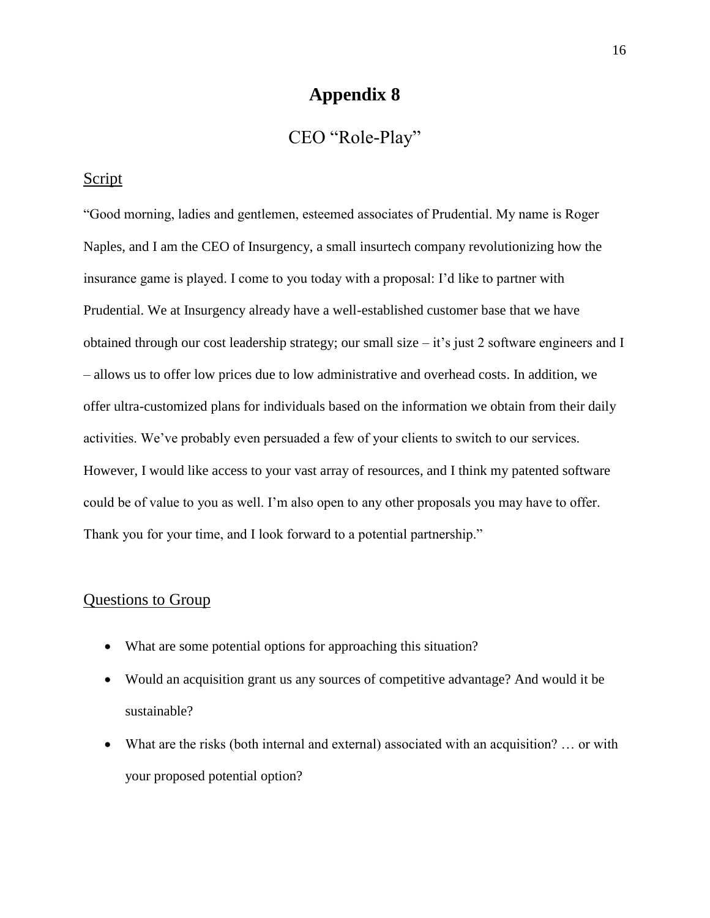### CEO "Role-Play"

### **Script**

"Good morning, ladies and gentlemen, esteemed associates of Prudential. My name is Roger Naples, and I am the CEO of Insurgency, a small insurtech company revolutionizing how the insurance game is played. I come to you today with a proposal: I'd like to partner with Prudential. We at Insurgency already have a well-established customer base that we have obtained through our cost leadership strategy; our small size – it's just 2 software engineers and I – allows us to offer low prices due to low administrative and overhead costs. In addition, we offer ultra-customized plans for individuals based on the information we obtain from their daily activities. We've probably even persuaded a few of your clients to switch to our services. However, I would like access to your vast array of resources, and I think my patented software could be of value to you as well. I'm also open to any other proposals you may have to offer. Thank you for your time, and I look forward to a potential partnership."

### Questions to Group

- What are some potential options for approaching this situation?
- Would an acquisition grant us any sources of competitive advantage? And would it be sustainable?
- What are the risks (both internal and external) associated with an acquisition? ... or with your proposed potential option?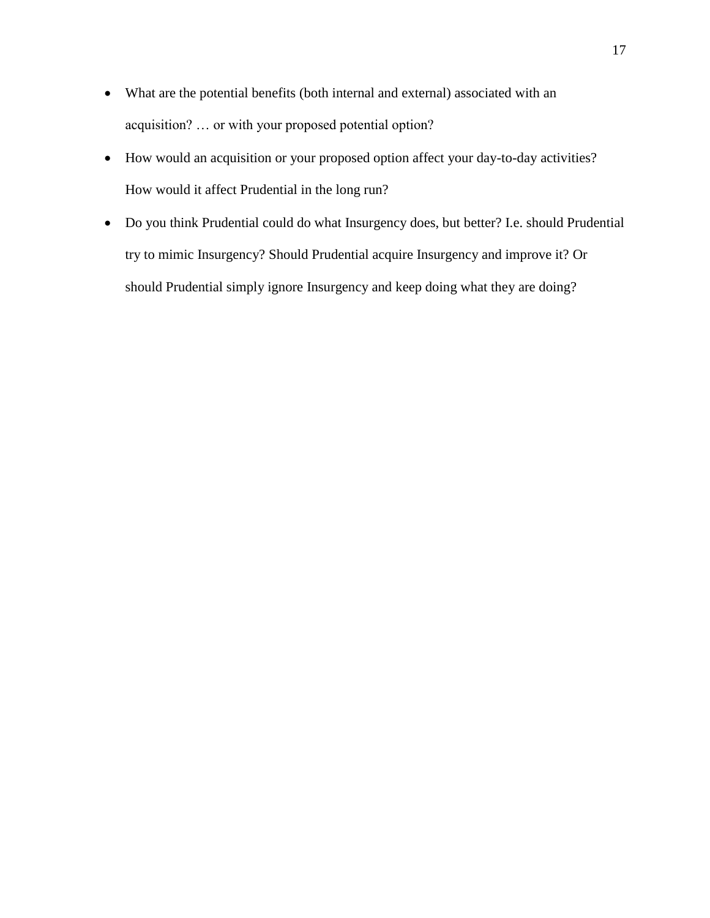- What are the potential benefits (both internal and external) associated with an acquisition? … or with your proposed potential option?
- How would an acquisition or your proposed option affect your day-to-day activities? How would it affect Prudential in the long run?
- Do you think Prudential could do what Insurgency does, but better? I.e. should Prudential try to mimic Insurgency? Should Prudential acquire Insurgency and improve it? Or should Prudential simply ignore Insurgency and keep doing what they are doing?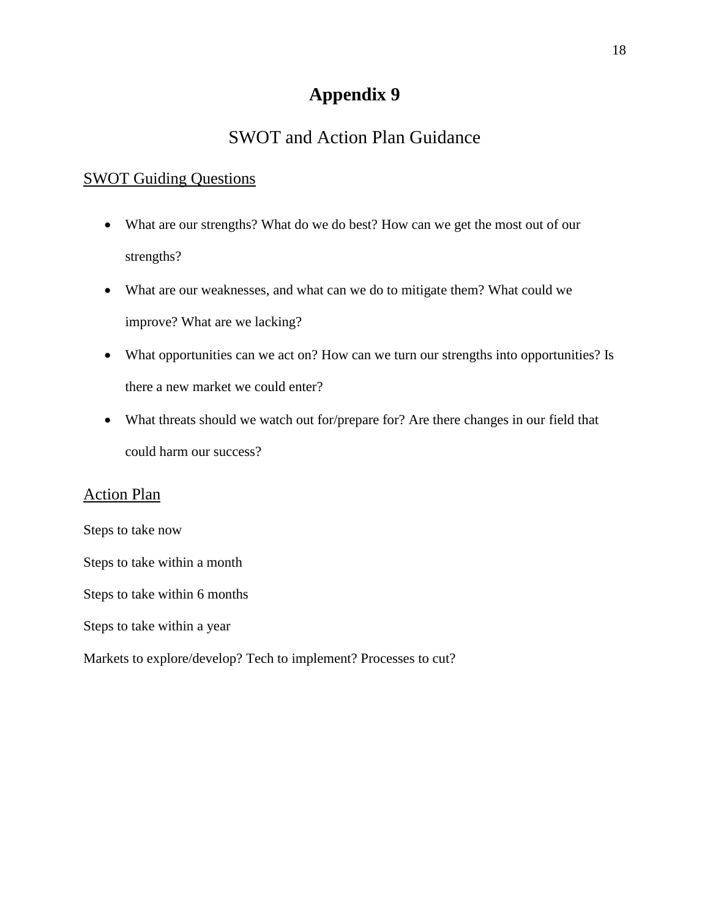# SWOT and Action Plan Guidance

### SWOT Guiding Questions

- What are our strengths? What do we do best? How can we get the most out of our strengths?
- What are our weaknesses, and what can we do to mitigate them? What could we improve? What are we lacking?
- What opportunities can we act on? How can we turn our strengths into opportunities? Is there a new market we could enter?
- What threats should we watch out for/prepare for? Are there changes in our field that could harm our success?

### Action Plan

Steps to take now

Steps to take within a month

Steps to take within 6 months

Steps to take within a year

Markets to explore/develop? Tech to implement? Processes to cut?